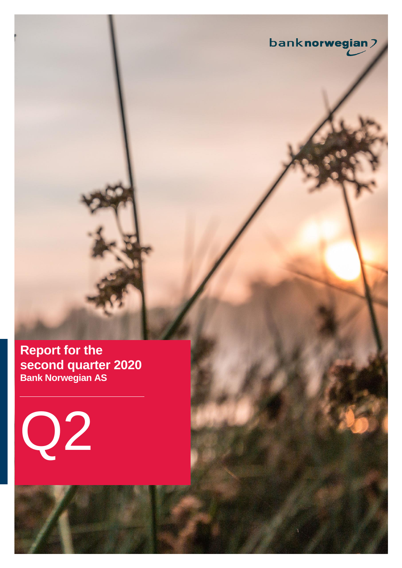**Report for the second quarter 2020 Bank Norwegian AS**

banknorwegian2

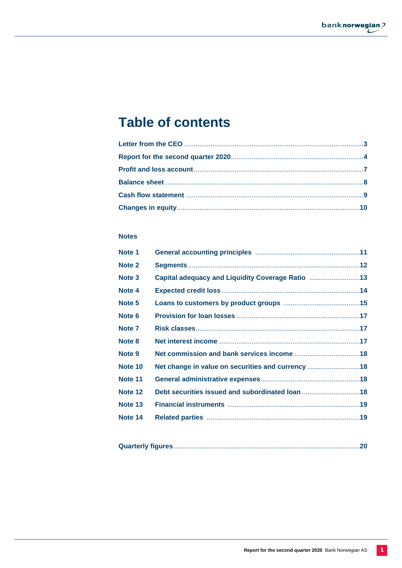# **Table of contents**

## **Notes**

| Note 1  |                                                   |  |
|---------|---------------------------------------------------|--|
| Note 2  |                                                   |  |
| Note 3  | Capital adequacy and Liquidity Coverage Ratio 13  |  |
| Note 4  |                                                   |  |
| Note 5  |                                                   |  |
| Note 6  |                                                   |  |
| Note 7  |                                                   |  |
| Note 8  |                                                   |  |
| Note 9  |                                                   |  |
| Note 10 | Net change in value on securities and currency 18 |  |
| Note 11 |                                                   |  |
| Note 12 |                                                   |  |
| Note 13 |                                                   |  |
| Note 14 |                                                   |  |
|         |                                                   |  |

|--|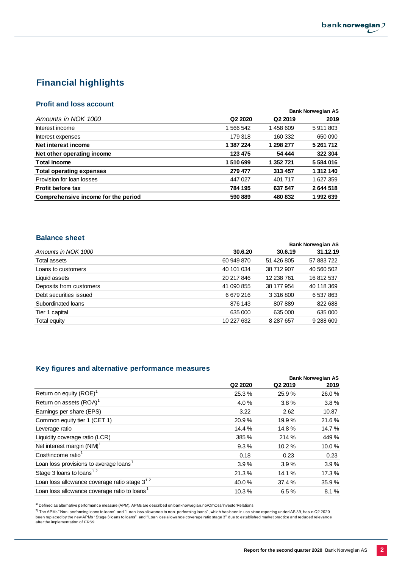## **Financial highlights**

## **Profit and loss account**

|                                     |                                 |                     | <b>Bank Norwegian AS</b> |
|-------------------------------------|---------------------------------|---------------------|--------------------------|
| Amounts in NOK 1000                 | Q <sub>2</sub> 20 <sub>20</sub> | Q <sub>2</sub> 2019 | 2019                     |
| Interest income                     | 1 566 542                       | 1458609             | 5911803                  |
| Interest expenses                   | 179318                          | 160 332             | 650 090                  |
| Net interest income                 | 1 387 224                       | 1 298 277           | 5 261 712                |
| Net other operating income          | 123 475                         | 54 444              | 322 304                  |
| <b>Total income</b>                 | 1510699                         | 1 352 721           | 5 584 016                |
| <b>Total operating expenses</b>     | 279 477                         | 313 457             | 1 312 140                |
| Provision for loan losses           | 447 027                         | 401 717             | 1 627 359                |
| <b>Profit before tax</b>            | 784 195                         | 637 547             | 2644518                  |
| Comprehensive income for the period | 590 889                         | 480 832             | 1992639                  |

## **Balance sheet**

| ваннос эпсс             |            |            |                          |
|-------------------------|------------|------------|--------------------------|
|                         |            |            | <b>Bank Norwegian AS</b> |
| Amounts in NOK 1000     | 30.6.20    | 30.6.19    | 31.12.19                 |
| Total assets            | 60 949 870 | 51 426 805 | 57 883 722               |
| Loans to customers      | 40 101 034 | 38 712 907 | 40 560 502               |
| Liquid assets           | 20 217 846 | 12 238 761 | 16 812 537               |
| Deposits from customers | 41 090 855 | 38 177 954 | 40 118 369               |
| Debt securities issued  | 6679216    | 3 316 800  | 6 537 863                |
| Subordinated loans      | 876 143    | 807889     | 822 688                  |
| Tier 1 capital          | 635 000    | 635 000    | 635 000                  |
| Total equity            | 10 227 632 | 8 287 657  | 9 288 609                |

### **Key figures and alternative performance measures**

|                                                          |                                 | <b>Bank Norwegian AS</b> |       |  |  |
|----------------------------------------------------------|---------------------------------|--------------------------|-------|--|--|
|                                                          | Q <sub>2</sub> 20 <sub>20</sub> | Q <sub>2</sub> 2019      | 2019  |  |  |
| Return on equity $(ROE)^1$                               | 25.3%                           | 25.9%                    | 26.0% |  |  |
| Return on assets (ROA) <sup>1</sup>                      | 4.0%                            | 3.8%                     | 3.8%  |  |  |
| Earnings per share (EPS)                                 | 3.22                            | 2.62                     | 10.87 |  |  |
| Common equity tier 1 (CET 1)                             | 20.9%                           | 19.9%                    | 21.6% |  |  |
| Leverage ratio                                           | 14.4 %                          | 14.8%                    | 14.7% |  |  |
| Liquidity coverage ratio (LCR)                           | 385 %                           | 214 %                    | 449 % |  |  |
| Net interest margin (NIM) <sup>1</sup>                   | 9.3%                            | 10.2%                    | 10.0% |  |  |
| Cost/income ratio $1$                                    | 0.18                            | 0.23                     | 0.23  |  |  |
| Loan loss provisions to average loans <sup>1</sup>       | 3.9%                            | 3.9%                     | 3.9%  |  |  |
| Stage 3 loans to loans <sup>12</sup>                     | 21.3%                           | 14.1%                    | 17.3% |  |  |
| Loan loss allowance coverage ratio stage $3^{12}$        | 40.0%                           | 37.4 %                   | 35.9% |  |  |
| Loan loss allowance coverage ratio to loans <sup>1</sup> | 10.3%                           | 6.5%                     | 8.1%  |  |  |
|                                                          |                                 |                          |       |  |  |

 $1)$  Defined as alternative performance measure (APM). APMs are described on banknorwegian.no/OmOss/InvestorRelations

<sup>2)</sup> The APMs "Non-performing loans to loans" and "Loan loss allowance to non-performing loans", which has been in use since reporting under IAS 39, has in Q2 2020<br>been replaced by the new APMs "Stage 3 loans to loans"and after the implementation of IFRS9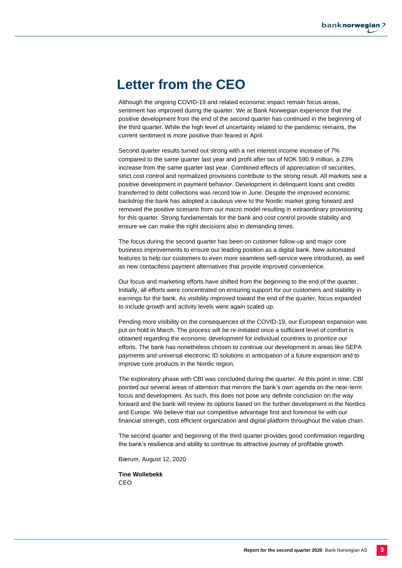# **Letter from the CEO**

Although the ongoing COVID-19 and related economic impact remain focus areas, sentiment has improved during the quarter. We at Bank Norwegian experience that the positive development from the end of the second quarter has continued in the beginning of the third quarter. While the high level of uncertainty related to the pandemic remains, the current sentiment is more positive than feared in April.

Second quarter results turned out strong with a net interest income increase of 7% compared to the same quarter last year and profit after tax of NOK 590.9 million, a 23% increase from the same quarter last year. Combined effects of appreciation of securities, strict cost control and normalized provisions contribute to the strong result. All markets see a positive development in payment behavior. Development in delinquent loans and credits transferred to debt collections was record low in June. Despite the improved economic backdrop the bank has adopted a cautious view to the Nordic market going forward and removed the positive scenario from our macro model resulting in extraordinary provisioning for this quarter. Strong fundamentals for the bank and cost control provide stability and ensure we can make the right decisions also in demanding times.

The focus during the second quarter has been on customer follow-up and major core business improvements to ensure our leading position as a digital bank. New automated features to help our customers to even more seamless self-service were introduced, as well as new contactless payment alternatives that provide improved convenience.

Our focus and marketing efforts have shifted from the beginning to the end of the quarter. Initially, all efforts were concentrated on ensuring support for our customers and stability in earnings for the bank. As visibility improved toward the end of the quarter, focus expanded to include growth and activity levels were again scaled up.

Pending more visibility on the consequences of the COVID-19, our European expansion was put on hold in March. The process will be re-initiated once a sufficient level of comfort is obtained regarding the economic development for individual countries to prioritize our efforts. The bank has nonetheless chosen to continue our development in areas like SEPA payments and universal electronic ID solutions in anticipation of a future expansion and to improve core products in the Nordic region.

The exploratory phase with CBI was concluded during the quarter. At this point in time, CBI pointed out several areas of attention that mirrors the bank's own agenda on the near-term focus and development. As such, this does not pose any definite conclusion on the way forward and the bank will review its options based on the further development in the Nordics and Europe. We believe that our competitive advantage first and foremost lie with our financial strength, cost efficient organization and digital platform throughout the value chain.

The second quarter and beginning of the third quarter provides good confirmation regarding the bank's resilience and ability to continue its attractive journey of profitable growth.

Bærum, August 12, 2020

**Tine Wollebekk** CEO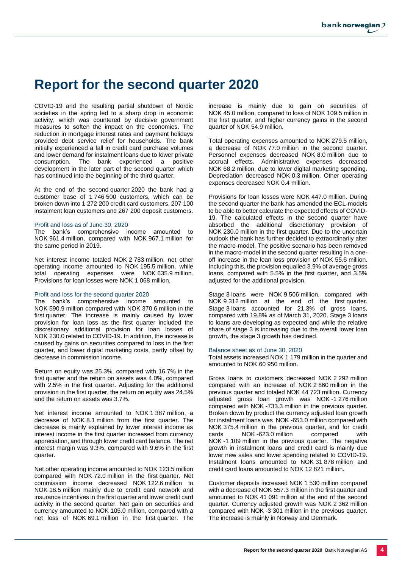# **Report for the second quarter 2020**

COVID-19 and the resulting partial shutdown of Nordic societies in the spring led to a sharp drop in economic activity, which was countered by decisive government measures to soften the impact on the economies. The reduction in mortgage interest rates and payment holidays provided debt service relief for households. The bank initially experienced a fall in credit card purchase volumes and lower demand for instalment loans due to lower private consumption. The bank experienced a positive development in the later part of the second quarter which has continued into the beginning of the third quarter.

At the end of the second quarter 2020 the bank had a customer base of 1 746 500 customers, which can be broken down into 1 272 200 credit card customers, 207 100 instalment loan customers and 267 200 deposit customers.

#### Profit and loss as of June 30, 2020

The bank's comprehensive income amounted to NOK 961.4 million, compared with NOK 967.1 million for the same period in 2019.

Net interest income totaled NOK 2 783 million, net other operating income amounted to NOK 195.5 million, while total operating expenses were NOK 635.9 million. Provisions for loan losses were NOK 1 068 million.

#### Profit and loss for the second quarter 2020

The bank's comprehensive income amounted to NOK 590.9 million compared with NOK 370.6 million in the first quarter. The increase is mainly caused by lower provision for loan loss as the first quarter included the discretionary additional provision for loan losses of NOK 230.0 related to COVID-19. In addition, the increase is caused by gains on securities compared to loss in the first quarter, and lower digital marketing costs, partly offset by decrease in commission income.

Return on equity was 25.3%, compared with 16.7% in the first quarter and the return on assets was 4.0%, compared with 2.5% in the first quarter. Adjusting for the additional provision in the first quarter, the return on equity was 24.5% and the return on assets was 3.7%.

Net interest income amounted to NOK 1 387 million, a decrease of NOK 8.1 million from the first quarter. The decrease is mainly explained by lower interest income as interest income in the first quarter increased from currency appreciation, and through lower credit card balance. The net interest margin was 9.3%, compared with 9.6% in the first quarter.

Net other operating income amounted to NOK 123.5 million compared with NOK 72.0 million in the first quarter. Net commission income decreased NOK 122.6 million to NOK 18.5 million mainly due to credit card network and insurance incentives in the first quarter and lower credit card activity in the second quarter. Net gain on securities and currency amounted to NOK 105.0 million, compared with a net loss of NOK 69.1 million in the first quarter. The

increase is mainly due to gain on securities of NOK 45.0 million, compared to loss of NOK 109.5 million in the first quarter, and higher currency gains in the second quarter of NOK 54.9 million.

Total operating expenses amounted to NOK 279.5 million, a decrease of NOK 77.0 million in the second quarter. Personnel expenses decreased NOK 8.0 million due to accrual effects. Administrative expenses decreased NOK 68.2 million, due to lower digital marketing spending. Depreciation decreased NOK 0.3 million. Other operating expenses decreased NOK 0.4 million.

Provisions for loan losses were NOK 447.0 million. During the second quarter the bank has amended the ECL-models to be able to better calculate the expected effects of COVID-19. The calculated effects in the second quarter have absorbed the additional discretionary provision of NOK 230.0 million in the first quarter. Due to the uncertain outlook the bank has further decided to extraordinarily alter the macro-model. The positive scenario has been removed in the macro-model in the second quarter resulting in a oneoff increase in the loan loss provision of NOK 55.5 million. Including this, the provision equalled 3.9% of average gross loans, compared with 5.5% in the first quarter, and 3.5% adjusted for the additional provision.

Stage 3 loans were NOK 9 506 million, compared with NOK 9 312 million at the end of the first quarter. Stage 3 loans accounted for 21.3% of gross loans, compared with 19.8% as of March 31, 2020. Stage 3 loans to loans are developing as expected and while the relative share of stage 3 is increasing due to the overall lower loan growth, the stage 3 growth has declined.

#### Balance sheet as of June 30, 2020

Total assets increased NOK 1 179 million in the quarter and amounted to NOK 60 950 million.

Gross loans to customers decreased NOK 2 292 million compared with an increase of NOK 2 860 million in the previous quarter and totaled NOK 44 723 million. Currency adjusted gross loan growth was NOK -1 276 million compared with NOK -733.3 million in the previous quarter. Broken down by product the currency adjusted loan growth for instalment loans was NOK -653.0 million compared with NOK 375.4 million in the previous quarter, and for credit cards NOK -623.0 million compared with NOK -1 109 million in the previous quarter. The negative growth in instalment loans and credit card is mainly due lower new sales and lower spending related to COVID-19. Instalment loans amounted to NOK 31 878 million and credit card loans amounted to NOK 12 821 million.

Customer deposits increased NOK 1 530 million compared with a decrease of NOK 557.3 million in the first quarter and amounted to NOK 41 091 million at the end of the second quarter. Currency adjusted growth was NOK 2 362 million compared with NOK -3 301 million in the previous quarter. The increase is mainly in Norway and Denmark.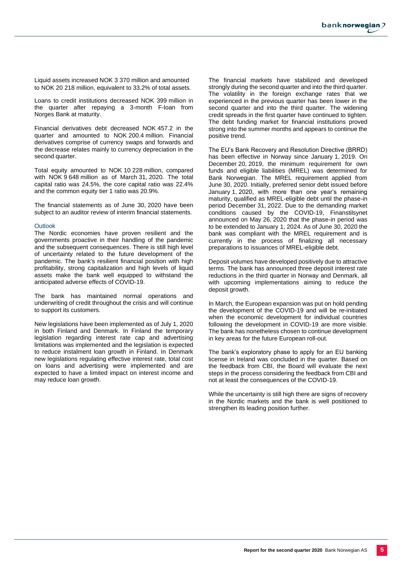Liquid assets increased NOK 3 370 million and amounted to NOK 20 218 million, equivalent to 33.2% of total assets.

Loans to credit institutions decreased NOK 399 million in the quarter after repaying a 3-month F-loan from Norges Bank at maturity.

Financial derivatives debt decreased NOK 457.2 in the quarter and amounted to NOK 200.4 million. Financial derivatives comprise of currency swaps and forwards and the decrease relates mainly to currency depreciation in the second quarter.

Total equity amounted to NOK 10 228 million, compared with NOK 9 648 million as of March 31, 2020. The total capital ratio was 24.5%, the core capital ratio was 22.4% and the common equity tier 1 ratio was 20.9%.

The financial statements as of June 30, 2020 have been subject to an auditor review of interim financial statements.

#### **Outlook**

The Nordic economies have proven resilient and the governments proactive in their handling of the pandemic and the subsequent consequences. There is still high level of uncertainty related to the future development of the pandemic. The bank's resilient financial position with high profitability, strong capitalization and high levels of liquid assets make the bank well equipped to withstand the anticipated adverse effects of COVID-19.

The bank has maintained normal operations and underwriting of credit throughout the crisis and will continue to support its customers.

New legislations have been implemented as of July 1, 2020 in both Finland and Denmark. In Finland the temporary legislation regarding interest rate cap and advertising limitations was implemented and the legislation is expected to reduce instalment loan growth in Finland. In Denmark new legislations regulating effective interest rate, total cost on loans and advertising were implemented and are expected to have a limited impact on interest income and may reduce loan growth.

The financial markets have stabilized and developed strongly during the second quarter and into the third quarter. The volatility in the foreign exchange rates that we experienced in the previous quarter has been lower in the second quarter and into the third quarter. The widening credit spreads in the first quarter have continued to tighten. The debt funding market for financial institutions proved strong into the summer months and appears to continue the positive trend.

The EU's Bank Recovery and Resolution Directive (BRRD) has been effective in Norway since January 1, 2019. On December 20, 2019, the minimum requirement for own funds and eligible liabilities (MREL) was determined for Bank Norwegian. The MREL requirement applied from June 30, 2020. Initially, preferred senior debt issued before January 1, 2020, with more than one year's remaining maturity, qualified as MREL-eligible debt until the phase-in period December 31, 2022. Due to the demanding market conditions caused by the COVID-19, Finanstilsynet announced on May 26, 2020 that the phase-in period was to be extended to January 1, 2024. As of June 30, 2020 the bank was compliant with the MREL requirement and is currently in the process of finalizing all necessary preparations to issuances of MREL-eligible debt.

Deposit volumes have developed positively due to attractive terms. The bank has announced three deposit interest rate reductions in the third quarter in Norway and Denmark, all with upcoming implementations aiming to reduce the deposit growth.

In March, the European expansion was put on hold pending the development of the COVID-19 and will be re-initiated when the economic development for individual countries following the development in COVID-19 are more visible. The bank has nonetheless chosen to continue development in key areas for the future European roll-out.

The bank's exploratory phase to apply for an EU banking license in Ireland was concluded in the quarter. Based on the feedback from CBI, the Board will evaluate the next steps in the process considering the feedback from CBI and not at least the consequences of the COVID-19.

While the uncertainty is still high there are signs of recovery in the Nordic markets and the bank is well positioned to strengthen its leading position further.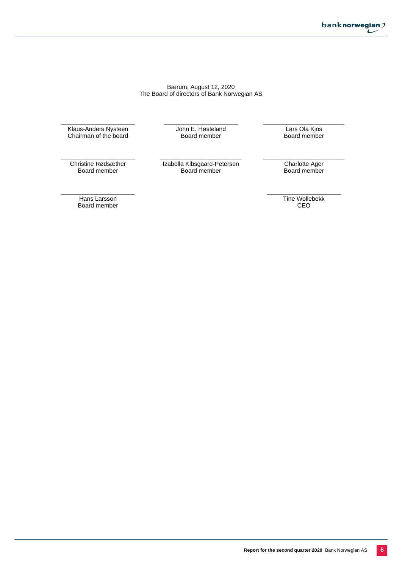### Bærum, August 12, 2020 The Board of directors of Bank Norwegian AS

**\_\_\_\_\_\_\_\_\_\_\_\_\_\_\_\_\_\_\_\_\_\_** Klaus-Anders Nysteen Chairman of the board

**\_\_\_\_\_\_\_\_\_\_\_\_\_\_\_\_\_\_\_\_\_\_** John E. Høsteland Board member

**\_\_\_\_\_\_\_\_\_\_\_\_\_\_\_\_\_\_\_\_\_\_\_\_** Lars Ola Kjos Board member

**\_\_\_\_\_\_\_\_\_\_\_\_\_\_\_\_\_\_\_\_\_\_** Christine Rødsæther Board member

**\_\_\_\_\_\_\_\_\_\_\_\_\_\_\_\_\_\_\_\_\_\_** Hans Larsson Board member

**\_\_\_\_\_\_\_\_\_\_\_\_\_\_\_\_\_\_\_\_\_\_\_\_** Izabella Kibsgaard-Petersen Board member

**\_\_\_\_\_\_\_\_\_\_\_\_\_\_\_\_\_\_\_\_\_\_\_\_** Charlotte Ager Board member

**\_\_\_\_\_\_\_\_\_\_\_\_\_\_\_\_\_\_\_\_\_\_** Tine Wollebekk CEO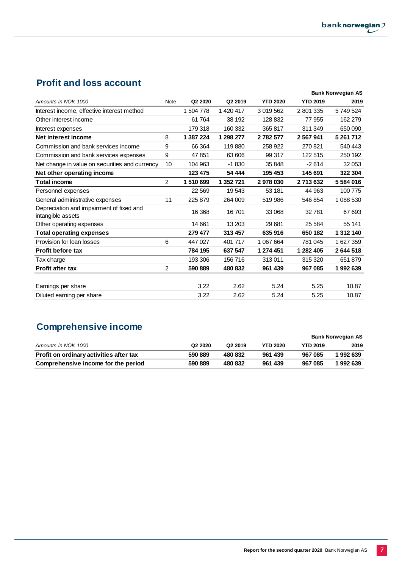## **Profit and loss account**

|                                                               |                |           |           |                 |                 | <b>Bank Norwegian AS</b> |
|---------------------------------------------------------------|----------------|-----------|-----------|-----------------|-----------------|--------------------------|
| Amounts in NOK 1000                                           | <b>Note</b>    | Q2 2020   | Q2 2019   | <b>YTD 2020</b> | <b>YTD 2019</b> | 2019                     |
| Interest income, effective interest method                    |                | 1 504 778 | 1 420 417 | 3 019 562       | 2 801 335       | 5749524                  |
| Other interest income                                         |                | 61 764    | 38 192    | 128 832         | 77 955          | 162 279                  |
| Interest expenses                                             |                | 179 318   | 160 332   | 365817          | 311 349         | 650 090                  |
| Net interest income                                           | 8              | 1 387 224 | 1 298 277 | 2 782 577       | 2 567 941       | 5 261 712                |
| Commission and bank services income                           | 9              | 66 364    | 119880    | 258 922         | 270821          | 540 443                  |
| Commission and bank services expenses                         | 9              | 47 851    | 63 606    | 99 317          | 122 515         | 250 192                  |
| Net change in value on securities and currency                | 10             | 104 963   | $-1830$   | 35 848          | $-2614$         | 32 053                   |
| Net other operating income                                    |                | 123 475   | 54 444    | 195 453         | 145 691         | 322 304                  |
| <b>Total income</b>                                           | 2              | 1510699   | 1 352 721 | 2978030         | 2713632         | 5584016                  |
| Personnel expenses                                            |                | 22 5 69   | 19543     | 53 181          | 44 963          | 100 775                  |
| General administrative expenses                               | 11             | 225 879   | 264 009   | 519 986         | 546 854         | 1 088 530                |
| Depreciation and impairment of fixed and<br>intangible assets |                | 16 368    | 16701     | 33 068          | 32781           | 67 693                   |
| Other operating expenses                                      |                | 14 661    | 13 203    | 29 681          | 25 5 84         | 55 141                   |
| <b>Total operating expenses</b>                               |                | 279 477   | 313 457   | 635916          | 650 182         | 1 312 140                |
| Provision for loan losses                                     | 6              | 447 027   | 401 717   | 1 067 664       | 781 045         | 1627359                  |
| <b>Profit before tax</b>                                      |                | 784 195   | 637 547   | 1 274 451       | 1 282 405       | 2644518                  |
| Tax charge                                                    |                | 193 306   | 156716    | 313011          | 315 320         | 651 879                  |
| <b>Profit after tax</b>                                       | $\overline{2}$ | 590 889   | 480 832   | 961 439         | 967 085         | 1992639                  |
|                                                               |                |           |           |                 |                 |                          |
| Earnings per share                                            |                | 3.22      | 2.62      | 5.24            | 5.25            | 10.87                    |
| Diluted earning per share                                     |                | 3.22      | 2.62      | 5.24            | 5.25            | 10.87                    |

## **Comprehensive income**

|                                         |                                 |                     |                 |                 | Bank Norwegian AS |
|-----------------------------------------|---------------------------------|---------------------|-----------------|-----------------|-------------------|
| Amounts in NOK 1000                     | Q <sub>2</sub> 20 <sub>20</sub> | Q <sub>2</sub> 2019 | <b>YTD 2020</b> | <b>YTD 2019</b> | 2019              |
| Profit on ordinary activities after tax | 590 889                         | 480 832             | 961 439         | 967 085         | 1992639           |
| Comprehensive income for the period     | 590 889                         | 480 832             | 961 439         | 967 085         | 1 992 639         |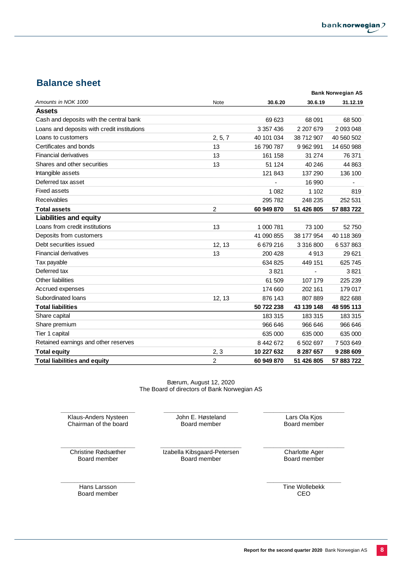## **Balance sheet**

|                                             |                |            |               | <b>Bank Norwegian AS</b> |
|---------------------------------------------|----------------|------------|---------------|--------------------------|
| Amounts in NOK 1000                         | Note           | 30.6.20    | 30.6.19       | 31.12.19                 |
| <b>Assets</b>                               |                |            |               |                          |
| Cash and deposits with the central bank     |                | 69 623     | 68 091        | 68 500                   |
| Loans and deposits with credit institutions |                | 3 357 436  | 2 207 679     | 2 093 048                |
| Loans to customers                          | 2, 5, 7        | 40 101 034 | 38 712 907    | 40 560 502               |
| Certificates and bonds                      | 13             | 16 790 787 | 9 9 6 2 9 9 1 | 14 650 988               |
| <b>Financial derivatives</b>                | 13             | 161 158    | 31 274        | 76 371                   |
| Shares and other securities                 | 13             | 51 124     | 40 246        | 44 863                   |
| Intangible assets                           |                | 121 843    | 137 290       | 136 100                  |
| Deferred tax asset                          |                |            | 16 990        |                          |
| <b>Fixed assets</b>                         |                | 1 0 8 2    | 1 1 0 2       | 819                      |
| Receivables                                 |                | 295 782    | 248 235       | 252 531                  |
| <b>Total assets</b>                         | $\overline{2}$ | 60 949 870 | 51 426 805    | 57 883 722               |
| <b>Liabilities and equity</b>               |                |            |               |                          |
| Loans from credit institutions              | 13             | 1 000 781  | 73 100        | 52750                    |
| Deposits from customers                     |                | 41 090 855 | 38 177 954    | 40 118 369               |
| Debt securities issued                      | 12, 13         | 6679216    | 3 316 800     | 6 537 863                |
| <b>Financial derivatives</b>                | 13             | 200 428    | 4913          | 29 621                   |
| Tax payable                                 |                | 634 825    | 449 151       | 625 745                  |
| Deferred tax                                |                | 3821       |               | 3821                     |
| Other liabilities                           |                | 61 509     | 107 179       | 225 239                  |
| Accrued expenses                            |                | 174 660    | 202 161       | 179 017                  |
| Subordinated loans                          | 12, 13         | 876 143    | 807 889       | 822 688                  |
| <b>Total liabilities</b>                    |                | 50 722 238 | 43 139 148    | 48 595 113               |
| Share capital                               |                | 183 315    | 183 315       | 183 315                  |
| Share premium                               |                | 966 646    | 966 646       | 966 646                  |
| Tier 1 capital                              |                | 635 000    | 635 000       | 635 000                  |
| Retained earnings and other reserves        |                | 8 442 672  | 6 502 697     | 7 503 649                |
| <b>Total equity</b>                         | 2, 3           | 10 227 632 | 8 287 657     | 9 288 609                |
| <b>Total liabilities and equity</b>         | $\overline{c}$ | 60 949 870 | 51 426 805    | 57 883 722               |

Bærum, August 12, 2020 The Board of directors of Bank Norwegian AS

**\_\_\_\_\_\_\_\_\_\_\_\_\_\_\_\_\_\_\_\_\_\_** Klaus-Anders Nysteen Chairman of the board

**\_\_\_\_\_\_\_\_\_\_\_\_\_\_\_\_\_\_\_\_\_\_** John E. Høsteland Board member

**\_\_\_\_\_\_\_\_\_\_\_\_\_\_\_\_\_\_\_\_\_\_\_\_** Lars Ola Kjos Board member

**\_\_\_\_\_\_\_\_\_\_\_\_\_\_\_\_\_\_\_\_\_\_** Christine Rødsæther Board member

**\_\_\_\_\_\_\_\_\_\_\_\_\_\_\_\_\_\_\_\_\_\_**

**\_\_\_\_\_\_\_\_\_\_\_\_\_\_\_\_\_\_\_\_\_\_\_\_** Izabella Kibsgaard-Petersen Board member

**\_\_\_\_\_\_\_\_\_\_\_\_\_\_\_\_\_\_\_\_\_\_\_\_** Charlotte Ager Board member

Hans Larsson Board member **\_\_\_\_\_\_\_\_\_\_\_\_\_\_\_\_\_\_\_\_\_\_** Tine Wollebekk CEO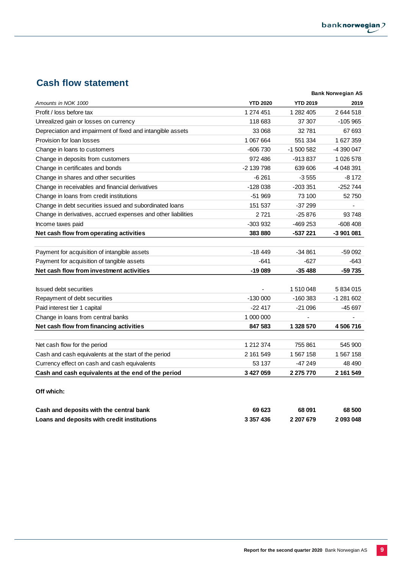## **Cash flow statement**

|                                                               |                 |                 | <b>Bank Norwegian AS</b> |
|---------------------------------------------------------------|-----------------|-----------------|--------------------------|
| Amounts in NOK 1000                                           | <b>YTD 2020</b> | <b>YTD 2019</b> | 2019                     |
| Profit / loss before tax                                      | 1 274 451       | 1 282 405       | 2644518                  |
| Unrealized gain or losses on currency                         | 118 683         | 37 307          | $-105965$                |
| Depreciation and impairment of fixed and intangible assets    | 33 068          | 32781           | 67 693                   |
| Provision for loan losses                                     | 1 067 664       | 551 334         | 1 627 359                |
| Change in loans to customers                                  | $-606730$       | -1 500 582      | -4 390 047               |
| Change in deposits from customers                             | 972 486         | -913 837        | 1 0 26 5 78              |
| Change in certificates and bonds                              | -2 139 798      | 639 606         | -4 048 391               |
| Change in shares and other securities                         | -6 261          | $-3555$         | $-8172$                  |
| Change in receivables and financial derivatives               | $-128038$       | $-203351$       | $-252744$                |
| Change in loans from credit institutions                      | $-51969$        | 73 100          | 52 750                   |
| Change in debt securities issued and subordinated loans       | 151 537         | $-37299$        |                          |
| Change in derivatives, accrued expenses and other liabilities | 2721            | $-25876$        | 93 748                   |
| Income taxes paid                                             | -303 932        | -469 253        | -608 408                 |
| Net cash flow from operating activities                       | 383880          | -537 221        | -3 901 081               |
|                                                               |                 |                 |                          |
| Payment for acquisition of intangible assets                  | $-18449$        | $-34861$        | $-59092$                 |
| Payment for acquisition of tangible assets                    | $-641$          | $-627$          | $-643$                   |
| Net cash flow from investment activities                      | $-19089$        | $-35488$        | -59 735                  |
|                                                               |                 |                 |                          |
| <b>Issued debt securities</b>                                 |                 | 1 510 048       | 5 834 015                |
| Repayment of debt securities                                  | $-130000$       | $-160383$       | -1 281 602               |
| Paid interest tier 1 capital                                  | $-22417$        | $-21096$        | -45 697                  |
| Change in loans from central banks                            | 1 000 000       |                 |                          |
| Net cash flow from financing activities                       | 847 583         | 1 328 570       | 4 506 716                |
|                                                               |                 |                 |                          |
| Net cash flow for the period                                  | 1 212 374       | 755 861         | 545 900                  |
| Cash and cash equivalents at the start of the period          | 2 161 549       | 1 567 158       | 1 567 158                |
| Currency effect on cash and cash equivalents                  | 53 137          | -47 249         | 48 490                   |
| Cash and cash equivalents at the end of the period            | 3 427 059       | 2 275 770       | 2 161 549                |
| Off which:                                                    |                 |                 |                          |

| Cash and deposits with the central bank     | 69 623    | 68 091    | 68 500    |
|---------------------------------------------|-----------|-----------|-----------|
| Loans and deposits with credit institutions | 3 357 436 | 2 207 679 | 2 093 048 |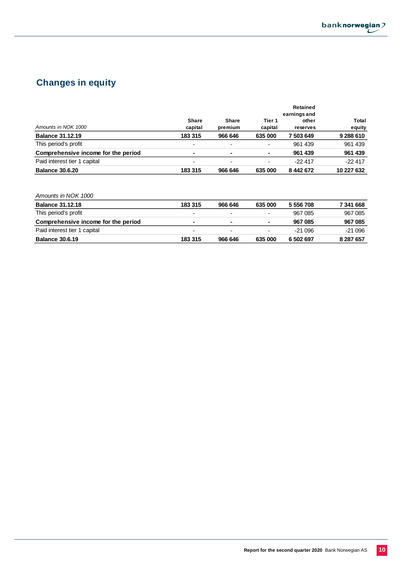

## **Changes in equity**

|                                     |                          |                          |                          | Retained  |              |  |
|-------------------------------------|--------------------------|--------------------------|--------------------------|-----------|--------------|--|
|                                     |                          | earnings and             |                          |           |              |  |
|                                     | <b>Share</b>             | <b>Share</b>             | Tier 1                   | other     | <b>Total</b> |  |
| Amounts in NOK 1000                 | capital                  | premium                  | capital                  | reserves  | equity       |  |
| <b>Balance 31.12.19</b>             | 183 315                  | 966 646                  | 635 000                  | 7503649   | 9 288 610    |  |
| This period's profit                | $\overline{\phantom{a}}$ | $\overline{\phantom{0}}$ | -                        | 961 439   | 961 439      |  |
| Comprehensive income for the period | ۰                        | ٠                        | $\blacksquare$           | 961 439   | 961 439      |  |
| Paid interest tier 1 capital        | $\overline{\phantom{a}}$ | $\overline{\phantom{a}}$ | $\overline{\phantom{0}}$ | $-22417$  | $-22417$     |  |
| <b>Balance 30.6.20</b>              | 183 315                  | 966 646                  | 635 000                  | 8 442 672 | 10 227 632   |  |

| Amounts in NOK 1000                 |         |                          |                          |           |           |
|-------------------------------------|---------|--------------------------|--------------------------|-----------|-----------|
| <b>Balance 31.12.18</b>             | 183 315 | 966 646                  | 635 000                  | 5 556 708 | 7 341 668 |
| This period's profit                | -       | ۰                        | $\overline{\phantom{0}}$ | 967 085   | 967 085   |
| Comprehensive income for the period | ۰       | $\sim$                   | $\blacksquare$           | 967 085   | 967 085   |
| Paid interest tier 1 capital        | -       | $\overline{\phantom{0}}$ | $\blacksquare$           | -21 096   | $-21096$  |
| <b>Balance 30.6.19</b>              | 183 315 | 966 646                  | 635 000                  | 6 502 697 | 8 287 657 |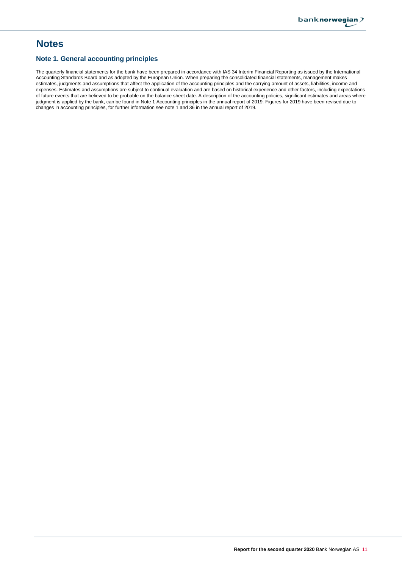## **Notes**

### **Note 1. General accounting principles**

The quarterly financial statements for the bank have been prepared in accordance with IAS 34 Interim Financial Reporting as issued by the International Accounting Standards Board and as adopted by the European Union. When preparing the consolidated financial statements, management makes estimates, judgments and assumptions that affect the application of the accounting principles and the carrying amount of assets, liabilities, income and expenses. Estimates and assumptions are subject to continual evaluation and are based on historical experience and other factors, including expectations of future events that are believed to be probable on the balance sheet date. A description of the accounting policies, significant estimates and areas where judgment is applied by the bank, can be found in Note 1 Accounting principles in the annual report of 2019. Figures for 2019 have been revised due to changes in accounting principles, for further information see note 1 and 36 in the annual report of 2019.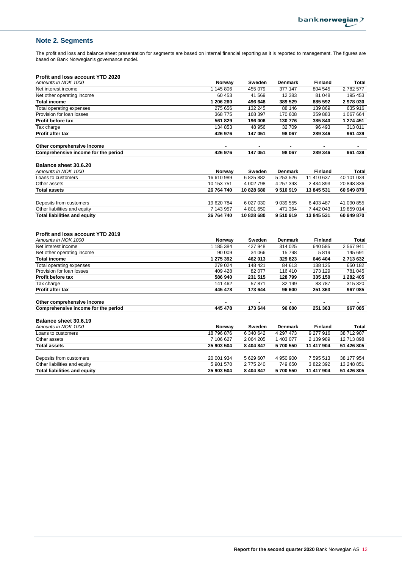## **Note 2. Segments**

The profit and loss and balance sheet presentation for segments are based on internal financial reporting as it is reported to management. The figures are based on Bank Norwegian's governance model.

### **Profit and loss account YTD 2020**

| Amounts in NOK 1000                 | Norway     | Sweden     | <b>Denmark</b> | <b>Finland</b> | Total      |
|-------------------------------------|------------|------------|----------------|----------------|------------|
| Net interest income                 | 1 145 806  | 455 079    | 377 147        | 804 545        | 2782577    |
| Net other operating income          | 60 453     | 41 569     | 12 383         | 81 048         | 195 453    |
| <b>Total income</b>                 | 1 206 260  | 496 648    | 389 529        | 885 592        | 2978030    |
| Total operating expenses            | 275 656    | 132 245    | 88 146         | 139 869        | 635 916    |
| Provision for loan losses           | 368 775    | 168 397    | 170 608        | 359 883        | 1 067 664  |
| <b>Profit before tax</b>            | 561 829    | 196 006    | 130 776        | 385 840        | 1 274 451  |
| Tax charge                          | 134 853    | 48 956     | 32 709         | 96 493         | 313 011    |
| <b>Profit after tax</b>             | 426 976    | 147 051    | 98 067         | 289 346        | 961 439    |
| Other comprehensive income          |            | ۰          | ۰              |                |            |
| Comprehensive income for the period | 426 976    | 147 051    | 98 067         | 289 346        | 961 439    |
| Balance sheet 30.6.20               |            |            |                |                |            |
| Amounts in NOK 1000                 | Norway     | Sweden     | <b>Denmark</b> | <b>Finland</b> | Total      |
| Loans to customers                  | 16 610 989 | 6825882    | 5 253 526      | 11 410 637     | 40 101 034 |
| Other assets                        | 10 153 751 | 4 002 798  | 4 257 393      | 2 434 893      | 20 848 836 |
| <b>Total assets</b>                 | 26 764 740 | 10 828 680 | 9510919        | 13 845 531     | 60 949 870 |
| Deposits from customers             | 19 620 784 | 6 027 030  | 9 0 39 5 5 5   | 6 403 487      | 41 090 855 |
| Other liabilities and equity        | 7 143 957  | 4 801 650  | 471 364        | 7 442 043      | 19 859 014 |
| <b>Total liabilities and equity</b> | 26 764 740 | 10 828 680 | 9510919        | 13 845 531     | 60 949 870 |

## **Profit and loss account YTD 2019**

| Amounts in NOK 1000                 | Norway     | Sweden        | <b>Denmark</b> | <b>Finland</b> | Total      |
|-------------------------------------|------------|---------------|----------------|----------------|------------|
| Net interest income                 | 1 185 384  | 427 948       | 314 025        | 640 585        | 2 567 941  |
| Net other operating income          | 90 009     | 34 066        | 15798          | 5819           | 145 691    |
| <b>Total income</b>                 | 1 275 392  | 462 013       | 329 823        | 646 404        | 2713632    |
| Total operating expenses            | 279 024    | 148 421       | 84 613         | 138 125        | 650 182    |
| Provision for loan losses           | 409 428    | 82 077        | 116 410        | 173 129        | 781 045    |
| <b>Profit before tax</b>            | 586 940    | 231 515       | 128799         | 335 150        | 1 282 405  |
| Tax charge                          | 141 462    | 57 871        | 32 199         | 83787          | 315 320    |
| <b>Profit after tax</b>             | 445 478    | 173 644       | 96 600         | 251 363        | 967 085    |
| Other comprehensive income          |            |               | ۰              |                |            |
| Comprehensive income for the period | 445 478    | 173 644       | 96 600         | 251 363        | 967 085    |
| Balance sheet 30.6.19               |            |               |                |                |            |
| Amounts in NOK 1000                 | Norway     | Sweden        | <b>Denmark</b> | <b>Finland</b> | Total      |
| Loans to customers                  | 18 796 876 | 6 340 642     | 4 297 473      | 9 277 916      | 38 712 907 |
| Other assets                        | 7 106 627  | 2 0 64 2 0 5  | 1 403 077      | 2 139 989      | 12 713 898 |
| Total assets                        | 25 903 504 | 8 4 0 4 8 4 7 | 5700 550       | 11 417 904     | 51 426 805 |
|                                     |            |               |                |                |            |
| Deposits from customers             | 20 001 934 | 5 629 607     | 4 950 900      | 7 595 513      | 38 177 954 |
| Other liabilities and equity        | 5 901 570  | 2 775 240     | 749 650        | 3 822 392      | 13 248 851 |
| Total liabilities and equity        | 25 903 504 | 8 404 847     | 5700 550       | 11 417 904     | 51 426 805 |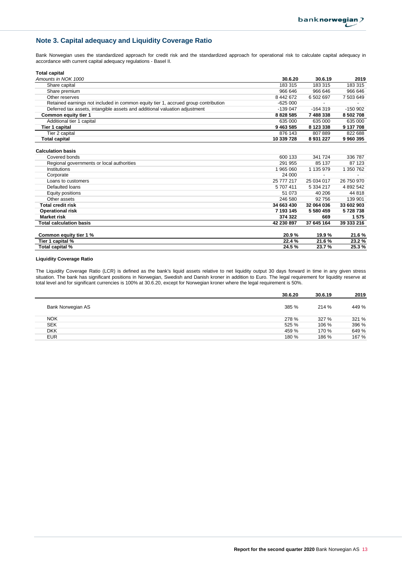## **Note 3. Capital adequacy and Liquidity Coverage Ratio**

Bank Norwegian uses the standardized approach for credit risk and the standardized approach for operational risk to calculate capital adequacy in accordance with current capital adequacy regulations - Basel II.

| <b>Total capital</b>                                                               |              |            |            |
|------------------------------------------------------------------------------------|--------------|------------|------------|
| Amounts in NOK 1000                                                                | 30.6.20      | 30.6.19    | 2019       |
| Share capital                                                                      | 183 315      | 183 315    | 183 315    |
| Share premium                                                                      | 966 646      | 966 646    | 966 646    |
| Other reserves                                                                     | 8 442 672    | 6 502 697  | 7 503 649  |
| Retained earnings not included in common equity tier 1, accrued group contribution | $-625000$    |            |            |
| Deferred tax assets, intangible assets and additional valuation adjustment         | $-139047$    | $-164319$  | $-150902$  |
| Common equity tier 1                                                               | 8 8 28 5 8 5 | 7 488 338  | 8 502 708  |
| Additional tier 1 capital                                                          | 635 000      | 635 000    | 635 000    |
| Tier 1 capital                                                                     | 9 4 63 5 85  | 8 123 338  | 9 137 708  |
| Tier 2 capital                                                                     | 876 143      | 807889     | 822 688    |
| <b>Total capital</b>                                                               | 10 339 728   | 8 931 227  | 9 960 395  |
| <b>Calculation basis</b>                                                           |              |            |            |
| Covered bonds                                                                      | 600 133      | 341 724    | 336 787    |
| Regional governments or local authorities                                          | 291 955      | 85 137     | 87 123     |
| Institutions                                                                       | 1 965 060    | 1 135 979  | 1 350 762  |
| Corporate                                                                          | 24 000       |            |            |
| Loans to customers                                                                 | 25 777 217   | 25 034 017 | 26 750 970 |
| Defaulted loans                                                                    | 5 707 411    | 5 334 217  | 4 892 542  |
| Equity positions                                                                   | 51 073       | 40 206     | 44 818     |
| Other assets                                                                       | 246 580      | 92 756     | 139 901    |
| <b>Total credit risk</b>                                                           | 34 663 430   | 32 064 036 | 33 602 903 |
| <b>Operational risk</b>                                                            | 7 193 145    | 5 580 459  | 5728738    |
| <b>Market risk</b>                                                                 | 374 322      | 669        | 1575       |
| <b>Total calculation basis</b>                                                     | 42 230 897   | 37 645 164 | 39 333 216 |
| Common equity tier 1 %                                                             | 20.9%        | 19.9%      | 21.6%      |
| Tier 1 capital %                                                                   | 22.4 %       | 21.6%      | 23.2%      |
| Total capital %                                                                    | 24.5%        | 23.7%      | 25.3%      |

#### **Liquidity Coverage Ratio**

The Liquidity Coverage Ratio (LCR) is defined as the bank's liquid assets relative to net liquidity output 30 days forward in time in any given stress situation. The bank has significant positions in Norwegian, Swedish and Danish kroner in addition to Euro. The legal requirement for liquidity reserve at total level and for significant currencies is 100% at 30.6.20, except for Norwegian kroner where the legal requirement is 50%.

|                   | 30.6.20 | 30.6.19 | 2019  |
|-------------------|---------|---------|-------|
| Bank Norwegian AS | 385 %   | 214 %   | 449 % |
| <b>NOK</b>        | 278 %   | 327 %   | 321 % |
| <b>SEK</b>        | 525 %   | 106 %   | 396 % |
| <b>DKK</b>        | 459 %   | 170 %   | 649 % |
| <b>EUR</b>        | 180 %   | 186 %   | 167 % |
|                   |         |         |       |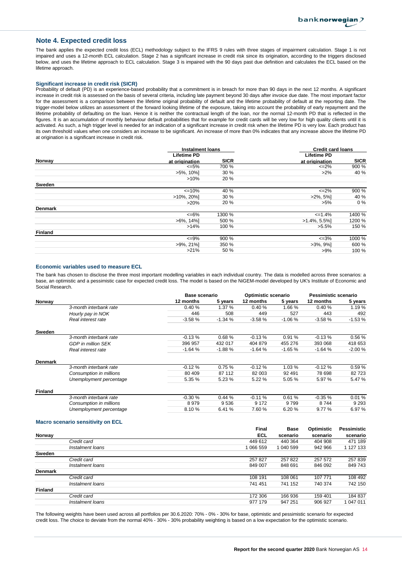#### **Note 4. Expected credit loss**

The bank applies the expected credit loss (ECL) methodology subject to the IFRS 9 rules with three stages of impairment calculation. Stage 1 is not impaired and uses a 12-month ECL calculation. Stage 2 has a significant increase in credit risk since its origination, according to the triggers disclosed below, and uses the lifetime approach to ECL calculation. Stage 3 is impaired with the 90 days past due definition and calculates the ECL based on the lifetime approach.

#### **Significant increase in credit risk (SICR)**

Probability of default (PD) is an experience-based probability that a commitment is in breach for more than 90 days in the next 12 months. A significant increase in credit risk is assessed on the basis of several criteria, including late payment beyond 30 days after invoice due date. The most important factor for the assessment is a comparison between the lifetime original probability of default and the lifetime probability of default at the reporting date. The trigger-model below utilizes an assessment of the forward looking lifetime of the exposure, taking into account the probability of early repayment and the lifetime probability of defaulting on the loan. Hence it is neither the contractual length of the loan, nor the normal 12-month PD that is reflected in the figures. It is an accumulation of monthly behaviour default probabilities that for example for credit cards will be very low for high quality clients until it is activated. As such, a high trigger level is needed for an indication of a significant increase in credit risk when the lifetime PD is very low. Each product has its own threshold values when one considers an increase to be significant. An increase of more than 0% indicates that any increase above the lifetime PD at origination is a significant increase in credit risk.

|                | <b>Instalment loans</b> |             | <b>Credit card loans</b> |             |
|----------------|-------------------------|-------------|--------------------------|-------------|
|                | <b>Lifetime PD</b>      |             | <b>Lifetime PD</b>       |             |
| Norway         | at origination          | <b>SICR</b> | at origination           | <b>SICR</b> |
|                | $\leq 5\%$              | 700 %       | $\leq$ 2%                | 900 %       |
|                | $>5\%$ , 10%]           | 30 %        | $>2\%$                   | 40 %        |
|                | $>10\%$                 | 20 %        |                          |             |
| Sweden         |                         |             |                          |             |
|                | $\leq 10\%$             | 40 %        | $\leq$ -2%               | 900 %       |
|                | $>10\%$ , 20%           | 30%         | $>2\%$ , 5%              | 40 %        |
|                | $>20\%$                 | 20 %        | $>5\%$                   | $0\%$       |
| <b>Denmark</b> |                         |             |                          |             |
|                | $<=6\%$                 | 1300 %      | $=1.4\%$                 | 1400 %      |
|                | $>6\%$ , 14%            | 500 %       | $>1.4\%$ , 5.5%          | 1200 %      |
|                | >14%                    | 100 %       | $>5.5\%$                 | 150 %       |
| <b>Finland</b> |                         |             |                          |             |
|                | $\leq$ 9%               | 900 %       | $\leq 3\%$               | 1000 %      |
|                | $>9\%$ , 21%            | 350 %       | $>3\%$ , $9\%$ ]         | 600 %       |
|                | $>21\%$                 | 50%         | $>9\%$                   | 100 %       |
|                |                         |             |                          |             |

#### **Economic variables used to measure ECL**

The bank has chosen to disclose the three most important modelling variables in each individual country. The data is modelled across three scenarios: a base, an optimistic and a pessimistic case for expected credit loss. The model is based on the NiGEM-model developed by UK's Institute of Economic and Social Research.

|                |                           | <b>Base scenario</b> |          | Optimistic scenario |          | Pessimistic scenario |          |
|----------------|---------------------------|----------------------|----------|---------------------|----------|----------------------|----------|
| Norway         |                           | 12 months            | 5 years  | 12 months           | 5 years  | 12 months            | 5 years  |
|                | 3-month interbank rate    | 0.40%                | 1.37 %   | 0.40%               | 1.66 %   | 0.40%                | 1.19%    |
|                | Hourly pay in NOK         | 446                  | 508      | 449                 | 527      | 443                  | 492      |
|                | Real interest rate        | $-3.58%$             | $-1.34%$ | $-3.58%$            | $-1.06%$ | $-3.58%$             | $-1.53%$ |
| Sweden         |                           |                      |          |                     |          |                      |          |
|                | 3-month interbank rate    | $-0.13%$             | 0.68%    | $-0.13%$            | 0.91%    | $-0.13%$             | 0.56%    |
|                | <b>GDP</b> in million SEK | 396 957              | 432 017  | 404 879             | 455 276  | 393 068              | 418 653  |
|                | Real interest rate        | $-1.64%$             | $-1.88%$ | $-1.64%$            | $-1.65%$ | $-1.64%$             | $-2.00%$ |
| <b>Denmark</b> |                           |                      |          |                     |          |                      |          |
|                | 3-month interbank rate    | $-0.12%$             | 0.75%    | $-0.12%$            | 1.03%    | $-0.12%$             | 0.59%    |
|                | Consumption in millions   | 80 409               | 87 112   | 82 003              | 92 491   | 78 698               | 82 723   |
|                | Unemployment percentage   | 5.35 %               | 5.23 %   | 5.22 %              | 5.05%    | 5.97 %               | 5.47 %   |
| <b>Finland</b> |                           |                      |          |                     |          |                      |          |
|                | 3-month interbank rate    | $-0.30%$             | 0.44%    | $-0.11%$            | 0.61%    | $-0.35%$             | 0.01%    |
|                | Consumption in millions   | 8979                 | 9536     | 9 1 7 2             | 9799     | 8744                 | 9 2 9 3  |
|                | Unemployment percentage   | 8.10 %               | 6.41 %   | 7.60 %              | 6.20%    | 9.77%                | 6.97 %   |

#### **Macro scenario sensitivity on ECL**

|                |                  | <b>Final</b> | <b>Base</b> | Optimistic | <b>Pessimistic</b> |  |
|----------------|------------------|--------------|-------------|------------|--------------------|--|
| Norway         |                  | <b>ECL</b>   | scenario    | scenario   | scenario           |  |
|                | Credit card      | 449 612      | 440 364     | 404 908    | 471 189            |  |
|                | Instalment Ioans | 1 066 559    | 1 040 599   | 942 966    | 1 127 133          |  |
| Sweden         |                  |              |             |            |                    |  |
|                | Credit card      | 257827       | 257822      | 257 572    | 257 839            |  |
|                | Instalment loans | 849 007      | 848 691     | 846 092    | 849 743            |  |
| <b>Denmark</b> |                  |              |             |            |                    |  |
|                | Credit card      | 108 191      | 108 061     | 107 771    | 108 492            |  |
|                | Instalment loans | 741 451      | 741 152     | 740 374    | 742 150            |  |
| <b>Finland</b> |                  |              |             |            |                    |  |
|                | Credit card      | 172 306      | 166936      | 159 401    | 184 837            |  |
|                | Instalment loans | 977 179      | 947 251     | 906 927    | 047 011            |  |

The following weights have been used across all portfolios per 30.6.2020: 70% - 0% - 30% for base, optimistic and pessimistic scenario for expected credit loss. The choice to deviate from the normal 40% - 30% - 30% probability weighting is based on a low expectation for the optimistic scenario.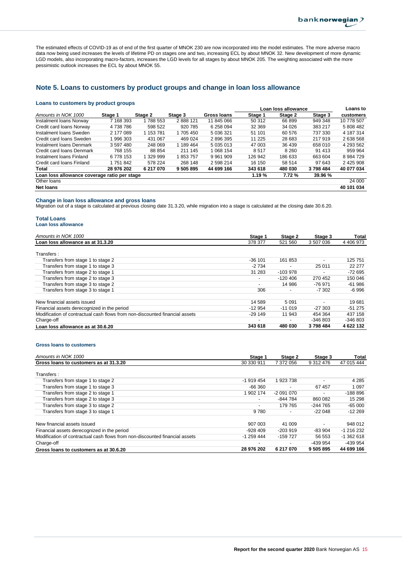The estimated effects of COVID-19 as of end of the first quarter of MNOK 230 are now incorporated into the model estimates. The more adverse macro data now being used increases the levels of lifetime PD on stages one and two, increasing ECL by about MNOK 32. New development of more dynamic LGD models, also incorporating macro-factors, increases the LGD levels for all stages by about MNOK 205. The weighting associated with the more pessimistic outlook increases the ECL by about MNOK 55.

### **Note 5. Loans to customers by product groups and change in loan loss allowance**

#### **Loans to customers by product groups**

|                                              |            |           |           |             |          | Loan loss allowance |         | Loans to      |
|----------------------------------------------|------------|-----------|-----------|-------------|----------|---------------------|---------|---------------|
| Amounts in NOK 1000                          | Stage 1    | Stage 2   | Stage 3   | Gross Ioans | Stage 1  | Stage 2             | Stage 3 | customers     |
| Instalment Ioans Norway                      | 7 168 393  | 788 553   | 2888121   | 11 845 066  | 50 312   | 66899               | 949 348 | 10 778 507    |
| Credit card loans Norway                     | 4738786    | 598 522   | 920 785   | 6 258 094   | 32 369   | 34 0 26             | 383 217 | 5 808 482     |
| Instalment Ioans Sweden                      | 2 177 089  | 1 153 781 | 1 705 450 | 5 036 321   | 51 101   | 60 576              | 737 330 | 4 187 314     |
| Credit card loans Sweden                     | 996 303    | 431 067   | 469 024   | 2896395     | 11 2 2 5 | 28 683              | 217 919 | 2 638 568     |
| Instalment Ioans Denmark                     | 3 597 480  | 248 069   | 1 189 464 | 5 035 013   | 47 003   | 36 439              | 658 010 | 4 293 562     |
| Credit card loans Denmark                    | 768 155    | 88 854    | 211 145   | 1 068 154   | 8517     | 8 2 6 0             | 91 413  | 959 964       |
| Instalment Ioans Finland                     | 6 778 153  | 329 999   | 853 757   | 9 9 61 9 09 | 126 942  | 186 633             | 663 604 | 8 9 8 4 7 2 9 |
| Credit card loans Finland                    | 1 751 842  | 578 224   | 268 148   | 2 598 214   | 16 150   | 58 514              | 97 643  | 2 425 908     |
| Total                                        | 28 976 202 | 6 217 070 | 9 505 895 | 44 699 166  | 343 618  | 480 030             | 3798484 | 40 077 034    |
| Loan loss allowance coverage ratio per stage |            |           |           |             | 1.19%    | 7.72%               | 39.96 % |               |
| Other loans                                  |            |           |           |             |          |                     |         | 24 000        |
| <b>Net loans</b>                             |            |           |           |             |          |                     |         | 40 101 034    |

#### **Change in loan loss allowance and gross loans**

Migration out of a stage is calculated at previous closing date 31.3.20, while migration into a stage is calculated at the closing date 30.6.20.

## **Total Loans**

|  |  | Loan loss allowance |
|--|--|---------------------|
|  |  |                     |

| Amounts in NOK 1000                                                         | Stage 1                  | Stage 2                  | Stage 3   | Total     |
|-----------------------------------------------------------------------------|--------------------------|--------------------------|-----------|-----------|
| Loan loss allowance as at 31.3.20                                           | 378 377                  | 521 560                  | 3 507 036 | 4 406 973 |
|                                                                             |                          |                          |           |           |
| Transfers:                                                                  |                          |                          |           |           |
| Transfers from stage 1 to stage 2                                           | $-36101$                 | 161853                   |           | 125 751   |
| Transfers from stage 1 to stage 3                                           | $-2734$                  |                          | 25 011    | 22 277    |
| Transfers from stage 2 to stage 1                                           | 31 283                   | $-103978$                |           | -72 695   |
| Transfers from stage 2 to stage 3                                           | -                        | $-120406$                | 270 452   | 150 046   |
| Transfers from stage 3 to stage 2                                           | $\overline{\phantom{0}}$ | 14 986                   | -76 971   | $-61986$  |
| Transfers from stage 3 to stage 1                                           | 306                      | $\overline{\phantom{0}}$ | $-7.302$  | -6 996    |
|                                                                             |                          |                          |           |           |
| New financial assets issued                                                 | 14 589                   | 5 0 9 1                  |           | 19681     |
| Financial assets derecognized in the period                                 | $-12954$                 | $-11019$                 | $-27.303$ | $-51275$  |
| Modification of contractual cash flows from non-discounted financial assets | $-29149$                 | 11 943                   | 454 364   | 437 158   |
| Charge-off                                                                  | $\overline{\phantom{0}}$ | $\overline{\phantom{0}}$ | $-346803$ | $-346803$ |
| Loan loss allowance as at 30.6.20                                           | 343 618                  | 480 030                  | 3798484   | 4 622 132 |

#### **Gross loans to customers**

| Amounts in NOK 1000                                                         | Stage 1                  | Stage 2    | Stage 3                  | Total       |
|-----------------------------------------------------------------------------|--------------------------|------------|--------------------------|-------------|
| Gross loans to customers as at 31.3.20                                      | 30 330 911               | 7 372 056  | 9 312 476                | 47 015 444  |
| Transfers:                                                                  |                          |            |                          |             |
| Transfers from stage 1 to stage 2                                           | -1 919 454               | 1923738    | $\overline{\phantom{0}}$ | 4 2 8 5     |
| Transfers from stage 1 to stage 3                                           | $-66360$                 |            | 67457                    | 1 0 9 7     |
| Transfers from stage 2 to stage 1                                           | 1 902 174                | -2 091 070 | ٠                        | $-188896$   |
| Transfers from stage 2 to stage 3                                           | $\overline{\phantom{a}}$ | -844 784   | 860 082                  | 15 298      |
| Transfers from stage 3 to stage 2                                           | $\overline{\phantom{0}}$ | 179 765    | $-244765$                | $-65000$    |
| Transfers from stage 3 to stage 1                                           | 9780                     |            | $-22048$                 | $-12269$    |
| New financial assets issued                                                 | 907 003                  | 41 009     | $\overline{\phantom{0}}$ | 948 012     |
| Financial assets derecognized in the period                                 | $-928409$                | $-203.919$ | $-83.904$                | $-1216232$  |
| Modification of contractual cash flows from non-discounted financial assets | $-1259444$               | $-159727$  | 56 553                   | $-1.362618$ |
| Charge-off                                                                  | $\overline{\phantom{0}}$ | ٠          | -439 954                 | -439 954    |
| Gross loans to customers as at 30.6.20                                      | 28 976 202               | 6 217 070  | 9 505 895                | 44 699 166  |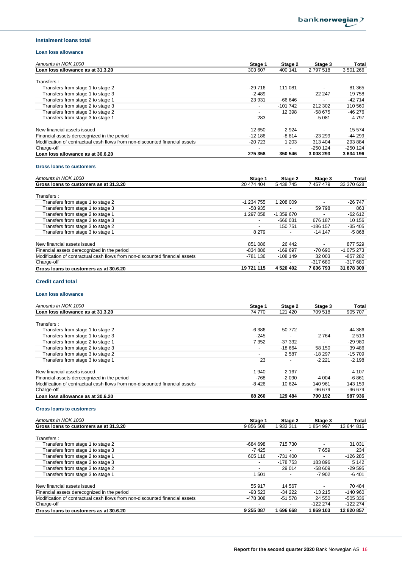#### **Instalment loans total**

#### **Loan loss allowance**

| Amounts in NOK 1000                                                         | Stage 1                  | Stage 2                  | Stage 3                  | Total     |
|-----------------------------------------------------------------------------|--------------------------|--------------------------|--------------------------|-----------|
| Loan loss allowance as at 31.3.20                                           | 303 607                  | 400 141                  | 2797518                  | 3 501 266 |
| Transfers:                                                                  |                          |                          |                          |           |
| Transfers from stage 1 to stage 2                                           | $-29716$                 | 111 081                  | $\overline{\phantom{0}}$ | 81 365    |
| Transfers from stage 1 to stage 3                                           | $-2489$                  | $\overline{\phantom{a}}$ | 22 247                   | 19758     |
| Transfers from stage 2 to stage 1                                           | 23 931                   | -66 646                  |                          | $-42714$  |
| Transfers from stage 2 to stage 3                                           | $\overline{\phantom{0}}$ | $-101742$                | 212 302                  | 110 560   |
| Transfers from stage 3 to stage 2                                           |                          | 12 3 9 8                 | -58 675                  | $-46276$  |
| Transfers from stage 3 to stage 1                                           | 283                      |                          | $-5081$                  | -4 797    |
| New financial assets issued                                                 | 12 650                   | 2 9 2 4                  |                          | 15 574    |
| Financial assets derecognized in the period                                 | $-12186$                 | $-8814$                  | $-23299$                 | -44 299   |
| Modification of contractual cash flows from non-discounted financial assets | $-20723$                 | 1 203                    | 313 404                  | 293 884   |
| Charge-off                                                                  |                          |                          | $-250$ 124               | $-250124$ |
| Loan loss allowance as at 30.6.20                                           | 275 358                  | 350 546                  | 3 008 293                | 3 634 196 |

#### **Gross loans to customers**

| Amounts in NOK 1000                                                         | Stage 1                  | Stage 2     | Stage 3                  | Total      |
|-----------------------------------------------------------------------------|--------------------------|-------------|--------------------------|------------|
| Gross loans to customers as at 31.3.20                                      | 20 474 404               | 5 438 745   | 7 457 479                | 33 370 628 |
| Transfers:                                                                  |                          |             |                          |            |
| Transfers from stage 1 to stage 2                                           | -1 234 755               | 1 208 009   | $\overline{\phantom{0}}$ | $-26747$   |
| Transfers from stage 1 to stage 3                                           | -58 935                  |             | 59 798                   | 863        |
| Transfers from stage 2 to stage 1                                           | 1 297 058                | $-1.359670$ | $\overline{\phantom{0}}$ | $-62612$   |
| Transfers from stage 2 to stage 3                                           | $\overline{\phantom{a}}$ | $-666031$   | 676 187                  | 10 156     |
| Transfers from stage 3 to stage 2                                           |                          | 150 751     | $-186$ 157               | $-35405$   |
| Transfers from stage 3 to stage 1                                           | 8 2 7 9                  |             | $-14147$                 | -5 868     |
| New financial assets issued                                                 | 851 086                  | 26 442      | $\overline{\phantom{0}}$ | 877 529    |
| Financial assets derecognized in the period                                 | -834 886                 | $-169697$   | -70 690                  | $-1075273$ |
| Modification of contractual cash flows from non-discounted financial assets | -781 136                 | $-108149$   | 32 003                   | $-857282$  |
| Charge-off                                                                  |                          |             | $-317680$                | $-317680$  |
| Gross loans to customers as at 30.6.20                                      | 19 721 115               | 4 520 402   | 7 636 793                | 31 878 309 |

### **Credit card total**

### **Loan loss allowance**

| Amounts in NOK 1000                                                         | Stage 1                  | Stage 2  | Stage 3  | Total    |
|-----------------------------------------------------------------------------|--------------------------|----------|----------|----------|
| Loan loss allowance as at 31.3.20                                           | 74 770                   | 121 420  | 709 518  | 905 707  |
| Transfers:                                                                  |                          |          |          |          |
| Transfers from stage 1 to stage 2                                           | $-6386$                  | 50 772   |          | 44 386   |
| Transfers from stage 1 to stage 3                                           | $-245$                   |          | 2 7 6 4  | 2519     |
| Transfers from stage 2 to stage 1                                           | 7 3 5 2                  | -37 332  |          | $-29980$ |
| Transfers from stage 2 to stage 3                                           | $\overline{\phantom{a}}$ | $-18664$ | 58 150   | 39 4 86  |
| Transfers from stage 3 to stage 2                                           |                          | 2587     | $-18297$ | $-15709$ |
| Transfers from stage 3 to stage 1                                           | 23                       |          | $-2221$  | $-2198$  |
| New financial assets issued                                                 | 1 940                    | 2 1 6 7  |          | 4 107    |
| Financial assets derecognized in the period                                 | $-768$                   | $-2090$  | $-4004$  | $-6861$  |
| Modification of contractual cash flows from non-discounted financial assets | -8426                    | 10 624   | 140 961  | 143 159  |
| Charge-off                                                                  |                          |          | $-96679$ | $-96679$ |
| Loan loss allowance as at 30.6.20                                           | 68 260                   | 129 484  | 790 192  | 987 936  |

#### **Gross loans to customers**

| Amounts in NOK 1000                                                         | Stage 1                  | Stage 2   | Stage 3                  | Total      |
|-----------------------------------------------------------------------------|--------------------------|-----------|--------------------------|------------|
| Gross loans to customers as at 31.3.20                                      | 9 856 508                | 933 311   | 854 997                  | 13 644 816 |
| Transfers:                                                                  |                          |           |                          |            |
| Transfers from stage 1 to stage 2                                           | -684 698                 | 715 730   |                          | 31 031     |
| Transfers from stage 1 to stage 3                                           | $-7425$                  |           | 7659                     | 234        |
| Transfers from stage 2 to stage 1                                           | 605 116                  | -731 400  |                          | $-126285$  |
| Transfers from stage 2 to stage 3                                           | ٠                        | $-178753$ | 183896                   | 5 1 4 2    |
| Transfers from stage 3 to stage 2                                           | $\overline{\phantom{0}}$ | 29 0 14   | $-58609$                 | $-29595$   |
| Transfers from stage 3 to stage 1                                           | 1501                     |           | $-7902$                  | -6 401     |
| New financial assets issued                                                 | 55 917                   | 14 5 67   | $\overline{\phantom{a}}$ | 70 484     |
| Financial assets derecognized in the period                                 | $-93523$                 | $-34222$  | $-13215$                 | $-140960$  |
| Modification of contractual cash flows from non-discounted financial assets | -478 308                 | $-51578$  | 24 550                   | -505 336   |
| Charge-off                                                                  | $\overline{\phantom{0}}$ |           | $-122224$                | $-122274$  |
| Gross loans to customers as at 30.6.20                                      | 9 255 087                | 696 668   | 869 103                  | 12 820 857 |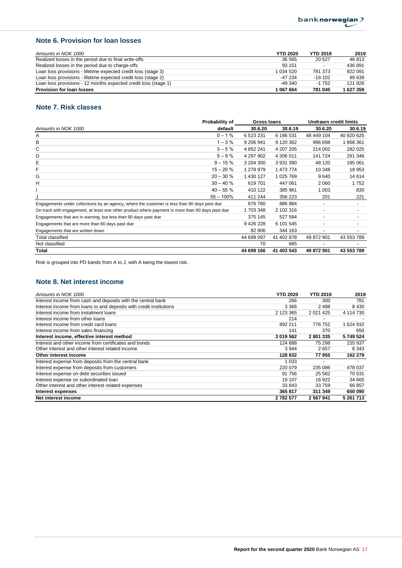## **Note 6. Provision for loan losses**

| Amounts in NOK 1000                                             | <b>YTD 2020</b> | <b>YTD 2019</b>          | 2019      |
|-----------------------------------------------------------------|-----------------|--------------------------|-----------|
| Realized losses in the period due to final write-offs           | 36 565          | 20 527                   | 46 813    |
| Realized losses in the period due to charge-offs                | 93 151          | $\overline{\phantom{a}}$ | 436 891   |
| Loan loss provisions - lifetime expected credit loss (stage 3)  | 1 0 34 5 20     | 781 373                  | 922 091   |
| Loan loss provisions - lifetime expected credit loss (stage 2)  | $-47234$        | $-19102$                 | 99 639    |
| Loan loss provisions - 12 months expected credit loss (stage 1) | $-49.340$       | $-1752$                  | 121 926   |
| <b>Provision for loan losses</b>                                | 1 067 664       | 781 045                  | 1 627 359 |

## **Note 7. Risk classes**

|                                                                                                  | Probability of | Gross Ioans   |            | <b>Undrawn credit limits</b> |                          |
|--------------------------------------------------------------------------------------------------|----------------|---------------|------------|------------------------------|--------------------------|
| Amounts in NOK 1000                                                                              | default        | 30.6.20       | 30.6.19    | 30.6.20                      | 30.6.19                  |
| Α                                                                                                | $0 - 1%$       | 6 523 231     | 6 186 531  | 48 449 104                   | 40 920 625               |
| в                                                                                                | $1 - 3%$       | 9 206 941     | 9 120 362  | 996 698                      | 1868361                  |
| C                                                                                                | $3 - 5%$       | 4 8 5 2 2 4 1 | 4 207 205  | 214 002                      | 282 025                  |
| D                                                                                                | $5 - 9%$       | 4 297 902     | 4 306 011  | 141 724                      | 261 346                  |
| Е                                                                                                | $9 - 15 \%$    | 3 204 300     | 3 931 390  | 48 120                       | 185 061                  |
| F                                                                                                | $15 - 20%$     | 1 278 979     | 1 473 774  | 10 348                       | 18 953                   |
| G                                                                                                | $20 - 30 \%$   | 1 430 127     | 1 025 769  | 9640                         | 14 614                   |
| н                                                                                                | $30 - 40%$     | 619701        | 447 061    | 2 0 6 0                      | 1752                     |
|                                                                                                  | $40 - 55%$     | 410 122       | 385 961    | 1 003                        | 830                      |
|                                                                                                  | $55 - 100\%$   | 411 244       | 356 223    | 201                          | 221                      |
| Engagements under collections by an agency, where the customer is less than 90 days past due     |                | 876 780       | 886 984    | -                            | $\overline{\phantom{a}}$ |
| On track with engagement, at least one other product where payment is more than 90 days past due |                | 1 703 348     | 2 102 316  | -                            |                          |
| Engagements that are in warning, but less than 90 days past due                                  |                | 375 145       | 527 584    | -                            |                          |
| Engagements that are more than 90 days past due                                                  |                | 9 426 228     | 6 101 545  | -                            |                          |
| Engagements that are written down                                                                |                | 82 806        | 344 163    |                              |                          |
| Total classified                                                                                 |                | 44 699 097    | 41 402 878 | 49 872 901                   | 43 553 789               |
| Not classified                                                                                   |                | 70            | 665        | $\overline{\phantom{0}}$     |                          |
| Total                                                                                            |                | 44 699 166    | 41 403 543 | 49 872 901                   | 43 553 789               |

Risk is grouped into PD bands from A to J, with A being the lowest risk.

## **Note 8. Net interest income**

| Amounts in NOK 1000                                                 | <b>YTD 2020</b> | <b>YTD 2019</b> | 2019      |
|---------------------------------------------------------------------|-----------------|-----------------|-----------|
| Interest income from cash and deposits with the central bank        | 266             | 300             | 781       |
| Interest income from loans to and deposits with credit institutions | 3 3 6 6         | 2488            | 8 4 3 0   |
| Interest income from instalment loans                               | 2 123 365       | 2 0 21 4 25     | 4 114 730 |
| Interest income from other loans                                    | 214             |                 |           |
| Interest income from credit card loans                              | 892 211         | 776 752         | 1 624 932 |
| Interest income from sales financing                                | 141             | 370             | 650       |
| Interest income, effective interest method                          | 3 019 562       | 2801335         | 5749524   |
| Interest and other income from certificates and bonds               | 124 888         | 75 298          | 155 937   |
| Other interest and other interest related income                    | 3944            | 2657            | 6 3 4 3   |
| Other interest income                                               | 128 832         | 77 955          | 162 279   |
| Interest expense from deposits from the central bank                | 1 0 3 3         |                 |           |
| Interest expense from deposits from customers                       | 220 079         | 235 086         | 478 037   |
| Interest expense on debt securities issued                          | 91 756          | 25 5 82         | 70 531    |
| Interest expense on subordinated loan                               | 19 107          | 16 922          | 34 665    |
| Other interest and other interest related expenses                  | 33 843          | 33 759          | 66 857    |
| Interest expenses                                                   | 365 817         | 311 349         | 650 090   |
| Net interest income                                                 | 2 782 577       | 2 567 941       | 5 261 713 |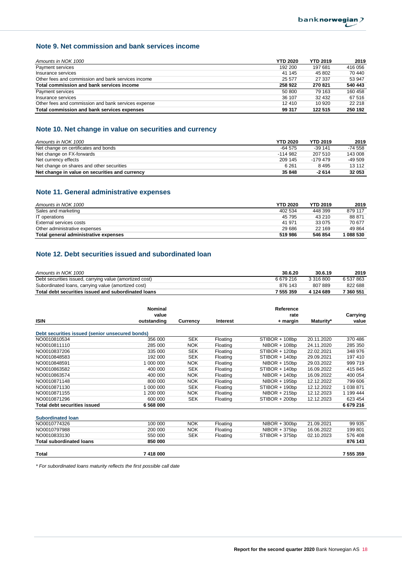## **Note 9. Net commission and bank services income**

| Amounts in NOK 1000                                 | <b>YTD 2020</b> | <b>YTD 2019</b> | 2019    |
|-----------------------------------------------------|-----------------|-----------------|---------|
| Payment services                                    | 192 200         | 197 681         | 416 056 |
| Insurance services                                  | 41 145          | 45 802          | 70 440  |
| Other fees and commission and bank services income  | 25 577          | 27 337          | 53 947  |
| Total commission and bank services income           | 258 922         | 270 821         | 540 443 |
| Payment services                                    | 50 800          | 79 163          | 160 458 |
| Insurance services                                  | 36 107          | 32 432          | 67 516  |
| Other fees and commission and bank services expense | 12 410          | 10 920          | 22 218  |
| Total commission and bank services expenses         | 99 317          | 122 515         | 250 192 |

## **Note 10. Net change in value on securities and currency**

| Amounts in NOK 1000                            | <b>YTD 2020</b> | <b>YTD 2019</b> | 2019      |
|------------------------------------------------|-----------------|-----------------|-----------|
| Net change on certificates and bonds           | $-64.575$       | $-39141$        | $-74.558$ |
| Net change on FX-forwards                      | $-114.982$      | 207 510         | 143 008   |
| Net currency effects                           | 209 145         | -179 479        | $-49.509$ |
| Net change on shares and other securities      | 6 2 6 1         | 8495            | 13 112    |
| Net change in value on securities and currency | 35 848          | $-2614$         | 32 053    |

## **Note 11. General administrative expenses**

| Amounts in NOK 1000                   | <b>YTD 2020</b> | <b>YTD 2019</b> | 2019      |
|---------------------------------------|-----------------|-----------------|-----------|
| Sales and marketing                   | 402 534         | 448 399         | 879 117   |
| IT operations                         | 45 795          | 43 210          | 88 871    |
| External services costs               | 41 971          | 33 075          | 70 677    |
| Other administrative expenses         | 29 686          | 22 169          | 49 8 64   |
| Total general administrative expenses | 519 986         | 546 854         | 1 088 530 |

## **Note 12. Debt securities issued and subordinated loan**

| Amounts in NOK 1000                                     | 30.6.20   | 30.6.19   | 2019      |
|---------------------------------------------------------|-----------|-----------|-----------|
| Debt securities issued, carrying value (amortized cost) | 6679216   | 3 316 800 | 6 537 863 |
| Subordinated loans, carrying value (amortized cost)     | 876 143   | 807889    | 822 688   |
| Total debt securities issued and subordinated loans     | 7 555 359 | 4 124 689 | 7 360 551 |

|                                                 | <b>Nominal</b> |            |                 | Reference       |            |           |
|-------------------------------------------------|----------------|------------|-----------------|-----------------|------------|-----------|
|                                                 | value          |            |                 | rate            |            | Carrying  |
| <b>ISIN</b>                                     | outstanding    | Currency   | <b>Interest</b> | + margin        | Maturity*  | value     |
|                                                 |                |            |                 |                 |            |           |
| Debt securities issued (senior unsecured bonds) |                |            |                 |                 |            |           |
| NO0010810534                                    | 356 000        | <b>SEK</b> | Floating        | STIBOR + 108bp  | 20.11.2020 | 370 486   |
| NO0010811110                                    | 285 000        | <b>NOK</b> | Floating        | $NIBOR + 108bp$ | 24.11.2020 | 285 350   |
| NO0010837206                                    | 335 000        | <b>SEK</b> | Floating        | STIBOR + 120bp  | 22.02.2021 | 348 976   |
| NO0010848583                                    | 192 000        | <b>SEK</b> | Floating        | STIBOR + 140bp  | 29.09.2021 | 197 410   |
| NO0010848591                                    | 1 000 000      | <b>NOK</b> | Floating        | $NIBOR + 150bp$ | 29.03.2022 | 999 719   |
| NO0010863582                                    | 400 000        | <b>SEK</b> | Floating        | STIBOR + 140bp  | 16.09.2022 | 415 845   |
| NO0010863574                                    | 400 000        | <b>NOK</b> | Floating        | $NIBOR + 140bp$ | 16.09.2022 | 400 054   |
| NO0010871148                                    | 800 000        | <b>NOK</b> | Floating        | $NIBOR + 195bp$ | 12.12.2022 | 799 606   |
| NO0010871130                                    | 1 000 000      | <b>SEK</b> | Floating        | STIBOR + 190bp  | 12.12.2022 | 1 038 871 |
| NO0010871155                                    | 1 200 000      | <b>NOK</b> | Floating        | $NIBOR + 215bp$ | 12.12.2023 | 1 199 444 |
| NO0010871296                                    | 600 000        | <b>SEK</b> | Floating        | STIBOR + 200bp  | 12.12.2023 | 623 454   |
| <b>Total debt securities issued</b>             | 6 568 000      |            |                 |                 |            | 6679216   |
|                                                 |                |            |                 |                 |            |           |
| <b>Subordinated loan</b>                        |                |            |                 |                 |            |           |
| NO0010774326                                    | 100 000        | <b>NOK</b> | Floating        | $NIBOR + 300bp$ | 21.09.2021 | 99 935    |
| NO0010797988                                    | 200 000        | <b>NOK</b> | Floating        | NIBOR + 375bp   | 16.06.2022 | 199 801   |
| NO0010833130                                    | 550 000        | <b>SEK</b> | Floating        | STIBOR + 375bp  | 02.10.2023 | 576 408   |
| <b>Total subordinated loans</b>                 | 850 000        |            |                 |                 |            | 876 143   |
|                                                 |                |            |                 |                 |            |           |
| Total                                           | 7 418 000      |            |                 |                 |            | 7 555 359 |

*\* For subordinated loans maturity reflects the first possible call date*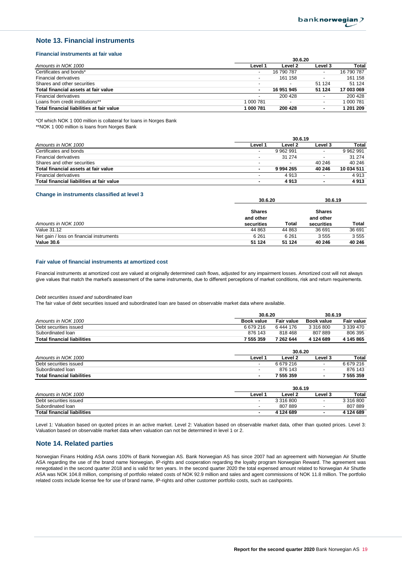**30.6.19**

#### **Note 13. Financial instruments**

#### **Financial instruments at fair value**

|                                           | 30.6.20                  |                          |                          |            |  |
|-------------------------------------------|--------------------------|--------------------------|--------------------------|------------|--|
| Amounts in NOK 1000                       | Level 1                  | Level 2                  | Level 3                  | Total      |  |
| Certificates and bonds*                   | ۰                        | 16 790 787               |                          | 16 790 787 |  |
| Financial derivatives                     | $\overline{\phantom{a}}$ | 161 158                  |                          | 161 158    |  |
| Shares and other securities               | $\overline{\phantom{0}}$ | $\overline{\phantom{0}}$ | 51 124                   | 51 124     |  |
| Total financial assets at fair value      | ٠                        | 16 951 945               | 51 124                   | 17 003 069 |  |
| <b>Financial derivatives</b>              | ٠                        | 200 428                  |                          | 200 428    |  |
| Loans from credit institutions**          | 1 000 781                | $\overline{\phantom{0}}$ | $\overline{\phantom{0}}$ | 1 000 781  |  |
| Total financial liabilities at fair value | 1 000 781                | 200 428                  | ۰                        | 1 201 209  |  |

\*Of which NOK 1 000 million is collateral for loans in Norges Bank

\*\*NOK 1 000 million is loans from Norges Bank

|                                           |                          | 30.6.19                  |         |            |  |
|-------------------------------------------|--------------------------|--------------------------|---------|------------|--|
| Amounts in NOK 1000                       | Level 1                  | Level 2                  | Level 3 | Total      |  |
| Certificates and bonds                    | $\overline{\phantom{0}}$ | 9 962 991                |         | 9 962 991  |  |
| <b>Financial derivatives</b>              | $\overline{\phantom{a}}$ | 31 274                   |         | 31 274     |  |
| Shares and other securities               | $\overline{\phantom{0}}$ | $\overline{\phantom{0}}$ | 40 246  | 40 246     |  |
| Total financial assets at fair value      |                          | 9 9 9 4 2 6 5            | 40 246  | 10 034 511 |  |
| <b>Financial derivatives</b>              | $\overline{\phantom{0}}$ | 4 9 1 3                  |         | 4913       |  |
| Total financial liabilities at fair value | ۰                        | 4913                     |         | 4913       |  |

#### **Change in instruments classified at level 3**

|                                          | 30.6.ZU                    |         | 30.6.19                    |        |
|------------------------------------------|----------------------------|---------|----------------------------|--------|
|                                          | <b>Shares</b><br>and other |         | <b>Shares</b><br>and other |        |
| Amounts in NOK 1000                      | securities                 | Total   | securities                 | Total  |
| Value 31.12                              | 44 863                     | 44 863  | 36 691                     | 36 691 |
| Net gain / loss on financial instruments | 6 2 6 1                    | 6 2 6 1 | 3555                       | 3555   |
| Value 30.6                               | 51 124                     | 51 124  | 40 246                     | 40 246 |

**30.6.20**

#### **Fair value of financial instruments at amortized cost**

Financial instruments at amortized cost are valued at originally determined cash flows, adjusted for any impairment losses. Amortized cost will not always give values that match the market's assessment of the same instruments, due to different perceptions of market conditions, risk and return requirements.

#### *Debt securities issued and subordinated loan*

The fair value of debt securities issued and subordinated loan are based on observable market data where available.

|                                    |                          | 30.6.20           |                          | 30.6.19           |  |
|------------------------------------|--------------------------|-------------------|--------------------------|-------------------|--|
| Amounts in NOK 1000                | <b>Book value</b>        | <b>Fair value</b> | <b>Book value</b>        | <b>Fair value</b> |  |
| Debt securities issued             | 6679216                  | 6444 176          | 3 316 800                | 3 339 470         |  |
| Subordinated Ioan                  | 876 143                  | 818 468           | 807889                   | 806 395           |  |
| <b>Total financial liabilities</b> | 7 555 359                | 7 262 644         | 4 124 689                | 4 145 865         |  |
|                                    |                          | 30.6.20           |                          |                   |  |
| Amounts in NOK 1000                | Level 1                  | Level 2           | Level 3                  | Total             |  |
| Debt securities issued             |                          | 6 679 216         | $\overline{\phantom{0}}$ | 6 679 216         |  |
| Subordinated Ioan                  | $\overline{\phantom{a}}$ | 876 143           | $\overline{\phantom{a}}$ | 876 143           |  |
| <b>Total financial liabilities</b> | ۰                        | 7 555 359         | ۰                        | 7 555 359         |  |
|                                    |                          | 30.6.19           |                          |                   |  |
| Amounts in NOK 1000                | Level 1                  | Level 2           | Level 3                  | Total             |  |
| Debt securities issued             | ٠                        | 3 316 800         | $\overline{\phantom{0}}$ | 3 316 800         |  |
| Subordinated Ioan                  | $\overline{\phantom{a}}$ | 807889            | $\overline{\phantom{0}}$ | 807889            |  |
| <b>Total financial liabilities</b> | ٠                        | 4 124 689         |                          | 4 124 689         |  |

Level 1: Valuation based on quoted prices in an active market. Level 2: Valuation based on observable market data, other than quoted prices. Level 3: Valuation based on observable market data when valuation can not be determined in level 1 or 2.

#### **Note 14. Related parties**

Norwegian Finans Holding ASA owns 100% of Bank Norwegian AS. Bank Norwegian AS has since 2007 had an agreement with Norwegian Air Shuttle ASA regarding the use of the brand name Norwegian, IP-rights and cooperation regarding the loyalty program Norwegian Reward. The agreement was renegotiated in the second quarter 2018 and is valid for ten years. In the second quarter 2020 the total expensed amount related to Norwegian Air Shuttle ASA was NOK 104.8 million, comprising of portfolio related costs of NOK 92.9 million and sales and agent commissions of NOK 11.8 million. The portfolio related costs include license fee for use of brand name, IP-rights and other customer portfolio costs, such as cashpoints.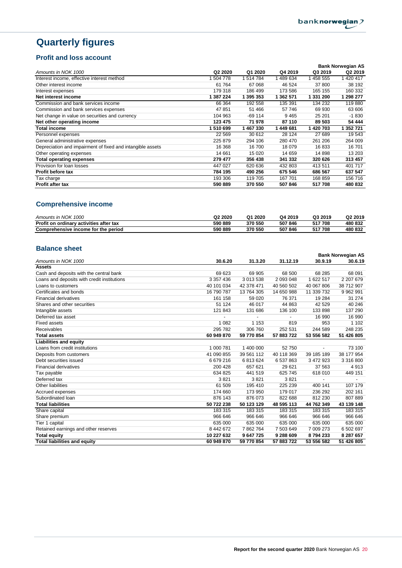## **Quarterly figures**

## **Profit and loss account**

|                                                            |                     |           |           |           | <b>Bank Norwegian AS</b> |
|------------------------------------------------------------|---------------------|-----------|-----------|-----------|--------------------------|
| Amounts in NOK 1000                                        | Q <sub>2</sub> 2020 | Q1 2020   | Q4 2019   | Q3 2019   | Q2 2019                  |
| Interest income, effective interest method                 | 504 778             | 514 784   | 489 634   | 1458 555  | 1 420 417                |
| Other interest income                                      | 61 764              | 67 068    | 46 524    | 37 800    | 38 192                   |
| Interest expenses                                          | 179 318             | 186 499   | 173 586   | 165 155   | 160 332                  |
| Net interest income                                        | 1 387 224           | 1 395 353 | 1 362 571 | 1 331 200 | 1 298 277                |
| Commission and bank services income                        | 66 364              | 192 558   | 135 391   | 134 232   | 119880                   |
| Commission and bank services expenses                      | 47 851              | 51 466    | 57 746    | 69 930    | 63 606                   |
| Net change in value on securities and currency             | 104 963             | $-69114$  | 9465      | 25 201    | $-1830$                  |
| Net other operating income                                 | 123 475             | 71 978    | 87 110    | 89 503    | 54 444                   |
| <b>Total income</b>                                        | 510 699             | 1 467 330 | 1449681   | 1 420 703 | 1 352 721                |
| Personnel expenses                                         | 22 5 69             | 30 612    | 28 1 24   | 27 689    | 19 543                   |
| General administrative expenses                            | 225 879             | 294 106   | 280 470   | 261 206   | 264 009                  |
| Depreciation and impairment of fixed and intangible assets | 16 368              | 16700     | 18 079    | 16833     | 16701                    |
| Other operating expenses                                   | 14 661              | 15 0 20   | 14 659    | 14 898    | 13 203                   |
| <b>Total operating expenses</b>                            | 279 477             | 356 438   | 341 332   | 320 626   | 313 457                  |
| Provision for loan losses                                  | 447 027             | 620 636   | 432 803   | 413511    | 401 717                  |
| Profit before tax                                          | 784 195             | 490 256   | 675 546   | 686 567   | 637 547                  |
| Tax charge                                                 | 193 306             | 119 705   | 167 701   | 168 859   | 156 716                  |
| <b>Profit after tax</b>                                    | 590 889             | 370 550   | 507 846   | 517708    | 480 832                  |

## **Comprehensive income**

| Amounts in NOK 1000                     | Q <sub>2</sub> 20 <sub>20</sub> | Q1<br>2020 | Q4 2019 | Q3 2019 | Q <sub>2</sub> 2019 |
|-----------------------------------------|---------------------------------|------------|---------|---------|---------------------|
| Profit on ordinary activities after tax | 590 889                         | 370 550    | 507846  | 517708  | 480 832             |
| Comprehensive income for the period     | 590 889                         | 370 550    | 507846  | 517708  | 480 832             |

## **Balance sheet**

|                                             |            |            |            |            | <b>Bank Norwegian AS</b> |
|---------------------------------------------|------------|------------|------------|------------|--------------------------|
| Amounts in NOK 1000                         | 30.6.20    | 31.3.20    | 31.12.19   | 30.9.19    | 30.6.19                  |
| <b>Assets</b>                               |            |            |            |            |                          |
| Cash and deposits with the central bank     | 69 623     | 69 905     | 68 500     | 68 285     | 68 091                   |
| Loans and deposits with credit institutions | 3 357 436  | 3 013 538  | 2 093 048  | 1 622 517  | 2 207 679                |
| Loans to customers                          | 40 101 034 | 42 378 471 | 40 560 502 | 40 067 806 | 38 712 907               |
| Certificates and bonds                      | 16 790 787 | 13 764 305 | 14 650 988 | 11 339 732 | 9 9 6 2 9 9 1            |
| <b>Financial derivatives</b>                | 161 158    | 59 0 20    | 76 371     | 19 2 84    | 31 274                   |
| Shares and other securities                 | 51 124     | 46 017     | 44 863     | 42 5 29    | 40 246                   |
| Intangible assets                           | 121 843    | 131 686    | 136 100    | 133 898    | 137 290                  |
| Deferred tax asset                          |            |            |            | 16 990     | 16 990                   |
| <b>Fixed assets</b>                         | 1 0 8 2    | 1 1 5 3    | 819        | 953        | 1 1 0 2                  |
| Receivables                                 | 295 782    | 306 760    | 252 531    | 244 589    | 248 235                  |
| <b>Total assets</b>                         | 60 949 870 | 59 770 854 | 57 883 722 | 53 556 582 | 51 426 805               |
| <b>Liabilities and equity</b>               |            |            |            |            |                          |
| Loans from credit institutions              | 1 000 781  | 1 400 000  | 52750      |            | 73 100                   |
| Deposits from customers                     | 41 090 855 | 39 561 112 | 40 118 369 | 39 185 189 | 38 177 954               |
| Debt securities issued                      | 6679216    | 6813624    | 6 537 863  | 3 472 923  | 3 316 800                |
| <b>Financial derivatives</b>                | 200 428    | 657 621    | 29 6 21    | 37 563     | 4913                     |
| Tax payable                                 | 634 825    | 441 519    | 625 745    | 618 010    | 449 151                  |
| Deferred tax                                | 3821       | 3821       | 3821       |            |                          |
| <b>Other liabilities</b>                    | 61 509     | 195 410    | 225 239    | 400 141    | 107 179                  |
| Accrued expenses                            | 174 660    | 173 950    | 179 017    | 236 292    | 202 161                  |
| Subordinated Ioan                           | 876 143    | 876 073    | 822 688    | 812 230    | 807889                   |
| <b>Total liabilities</b>                    | 50 722 238 | 50 123 129 | 48 595 113 | 44 762 349 | 43 139 148               |
| Share capital                               | 183 315    | 183 315    | 183 315    | 183 315    | 183 315                  |
| Share premium                               | 966 646    | 966 646    | 966 646    | 966 646    | 966 646                  |
| Tier 1 capital                              | 635 000    | 635 000    | 635 000    | 635 000    | 635 000                  |
| Retained earnings and other reserves        | 8 442 672  | 7862764    | 7 503 649  | 7 009 273  | 6 502 697                |
| <b>Total equity</b>                         | 10 227 632 | 9 647 725  | 9 288 609  | 8794233    | 8 287 657                |
| <b>Total liabilities and equity</b>         | 60 949 870 | 59 770 854 | 57 883 722 | 53 556 582 | 51 426 805               |